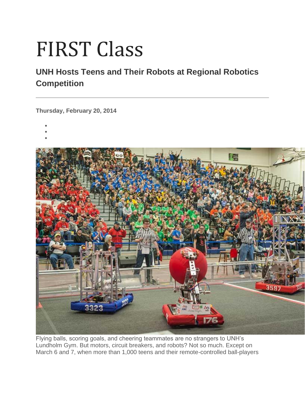## FIRST Class

## **UNH Hosts Teens and Their Robots at Regional Robotics Competition**

**Thursday, February 20, 2014**

- •
- •
- •



Flying balls, scoring goals, and cheering teammates are no strangers to UNH's Lundholm Gym. But motors, circuit breakers, and robots? Not so much. Except on March 6 and 7, when more than 1,000 teens and their remote-controlled ball-players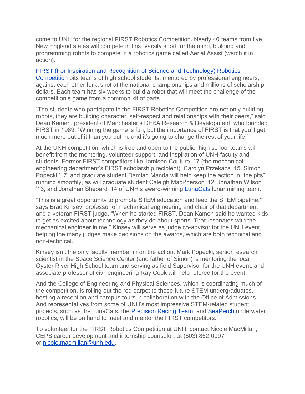come to UNH for the regional FIRST Robotics Competition. Nearly 40 teams from five New England states will compete in this "varsity sport for the mind, building and programming robots to compete in a robotics game called Aerial Assist (watch it in action).

[FIRST \(For Inspiration and Recognition of Science and Technology\) Robotics](http://www.unh.edu/main/first-robotics)  [Competition](http://www.unh.edu/main/first-robotics) pits teams of high school students, mentored by professional engineers, against each other for a shot at the national championships and millions of scholarship dollars. Each team has six weeks to build a robot that will meet the challenge of the competition's game from a common kit of parts.

"The students who participate in the FIRST Robotics Competition are not only building robots, they are building character, self-respect and relationships with their peers," said Dean Kamen, president of Manchester's DEKA Research & Development, who founded FIRST in 1989. "Winning the game is fun, but the importance of FIRST is that you'll get much more out of it than you put in, and it's going to change the rest of your life."

At the UNH competition, which is free and open to the public, high school teams will benefit from the mentoring, volunteer support, and inspiration of UNH faculty and students. Former FIRST competitors like Jamison Couture '17 (the mechanical engineering department's FIRST scholarship recipient), Carolyn Przekaza '15, Simon Popecki '17, and graduate student Damian Manda will help keep the action in "the pits" running smoothly, as will graduate student Caleigh MacPherson '12, Jonathan Wilson '13, and Jonathan Shepard '14 of UNH's award-winning [LunaCats](http://www.unh.edu/lunacats/) lunar mining team.

"This is a great opportunity to promote STEM education and feed the STEM pipeline," says Brad Kinsey, professor of mechanical engineering and chair of that department and a veteran FIRST judge. "When he started FIRST, Dean Kamen said he wanted kids to get as excited about technology as they do about sports. That resonates with the mechanical engineer in me." Kinsey will serve as judge co-advisor for the UNH event, helping the many judges make decisions on the awards, which are both technical and non-technical.

Kinsey isn't the only faculty member in on the action. Mark Popecki, senior research scientist in the Space Science Center (and father of Simon) is mentoring the local Oyster River High School team and serving as field Supervisor for the UNH event, and associate professor of civil engineering Ray Cook will help referee for the event.

And the College of Engineering and Physical Sciences, which is coordinating much of the competition, is rolling out the red carpet to these future STEM undergraduates, hosting a reception and campus tours in collaboration with the Office of Admissions. And representatives from some of UNH's most impressive STEM-related student projects, such as the LunaCats, the [Precision Racing Team,](http://www.unh.edu/fsae/) and [SeaPerch](http://ccom.unh.edu/seaperch) underwater robotics, will be on hand to meet and mentor the FIRST competitors.

To volunteer for the FIRST Robotics Competition at UNH, contact Nicole MacMillan, CEPS career development and internship counselor, at (603) 862-0997 or [nicole.macmillan@unh.edu.](mailto:nicole.macmillan@unh.edu)